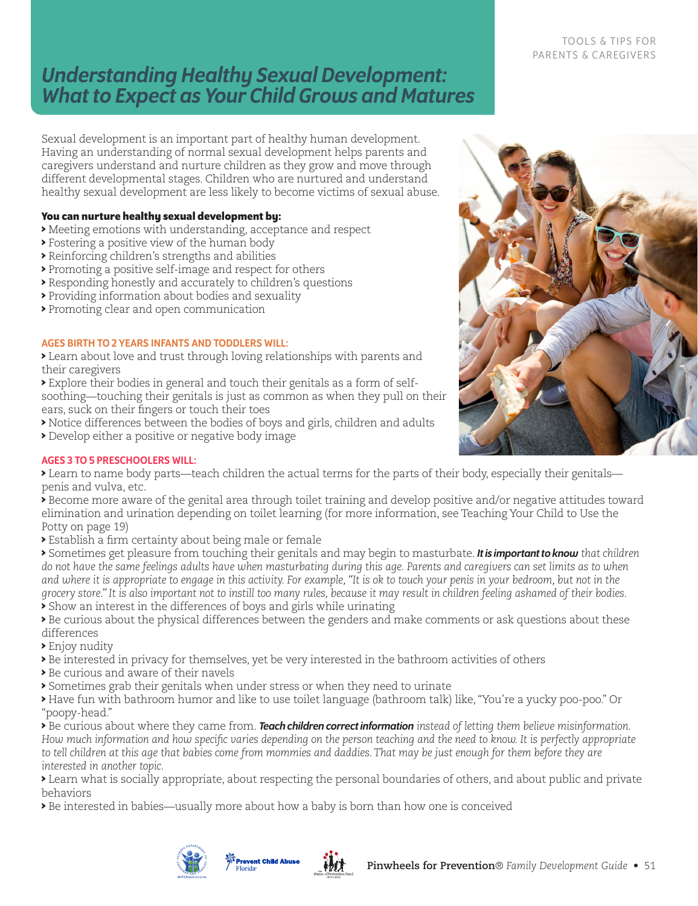# *Understanding Healthy Sexual Development: What to Expect as Your Child Grows and Matures*

Sexual development is an important part of healthy human development. Having an understanding of normal sexual development helps parents and caregivers understand and nurture children as they grow and move through different developmental stages. Children who are nurtured and understand healthy sexual development are less likely to become victims of sexual abuse.

#### **You can nurture healthy sexual development by:**

- > Meeting emotions with understanding, acceptance and respect
- > Fostering a positive view of the human body
- > Reinforcing children's strengths and abilities
- > Promoting a positive self-image and respect for others
- > Responding honestly and accurately to children's questions
- > Providing information about bodies and sexuality
- > Promoting clear and open communication

#### AGES BIRTH TO 2 YEARS INFANTS AND TODDLERS WILL:

> Learn about love and trust through loving relationships with parents and their caregivers

> Explore their bodies in general and touch their genitals as a form of selfsoothing—touching their genitals is just as common as when they pull on their ears, suck on their fingers or touch their toes

- > Notice differences between the bodies of boys and girls, children and adults
- > Develop either a positive or negative body image

# TOOLS & TIPS FOR PARENTS & CAREGIVERS



#### AGES 3 TO 5 PRESCHOOLERS WILL:

> Learn to name body parts—teach children the actual terms for the parts of their body, especially their genitals penis and vulva, etc.

> Become more aware of the genital area through toilet training and develop positive and/or negative attitudes toward elimination and urination depending on toilet learning (for more information, see Teaching Your Child to Use the Potty on page 19)

> Establish a firm certainty about being male or female

> Sometimes get pleasure from touching their genitals and may begin to masturbate. *It is important to know that children do not have the same feelings adults have when masturbating during this age. Parents and caregivers can set limits as to when and where it is appropriate to engage in this activity. For example, "It is ok to touch your penis in your bedroom, but not in the grocery store." It is also important not to instill too many rules, because it may result in children feeling ashamed of their bodies.* > Show an interest in the differences of boys and girls while urinating

> Be curious about the physical differences between the genders and make comments or ask questions about these differences

> Enjoy nudity

> Be interested in privacy for themselves, yet be very interested in the bathroom activities of others

- > Be curious and aware of their navels
- > Sometimes grab their genitals when under stress or when they need to urinate

> Have fun with bathroom humor and like to use toilet language (bathroom talk) like, "You're a yucky poo-poo." Or "poopy-head."

> Be curious about where they came from. *Teach children correct information instead of letting them believe misinformation. How much information and how specific varies depending on the person teaching and the need to know. It is perfectly appropriate to tell children at this age that babies come from mommies and daddies. That may be just enough for them before they are interested in another topic.*

> Learn what is socially appropriate, about respecting the personal boundaries of others, and about public and private behaviors

> Be interested in babies—usually more about how a baby is born than how one is conceived



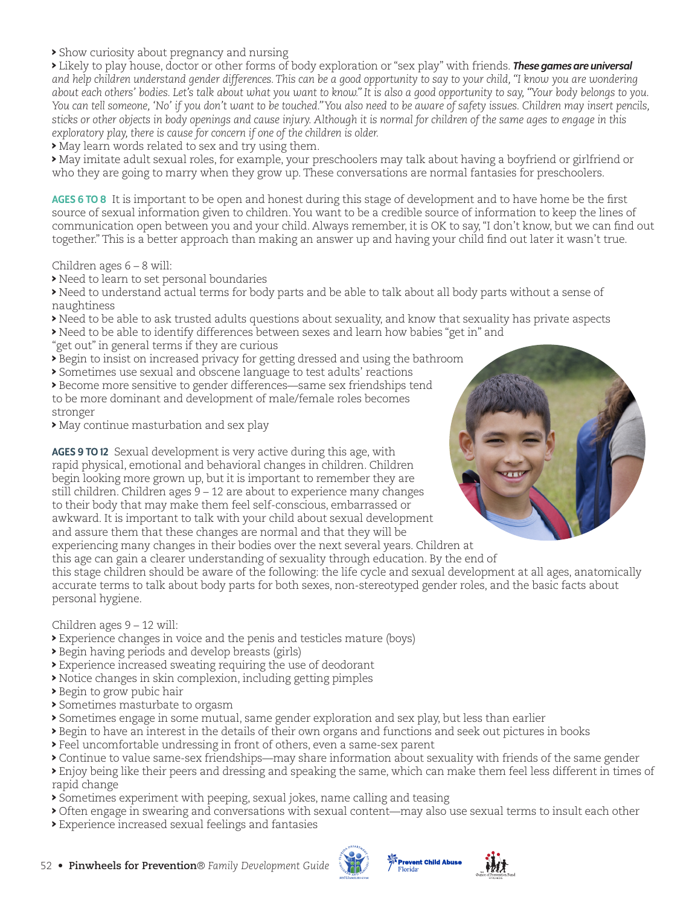> Show curiosity about pregnancy and nursing

> Likely to play house, doctor or other forms of body exploration or "sex play" with friends. *These games are universal and help children understand gender differences. This can be a good opportunity to say to your child, "I know you are wondering about each others' bodies. Let's talk about what you want to know." It is also a good opportunity to say, "Your body belongs to you. You can tell someone, 'No' if you don't want to be touched." You also need to be aware of safety issues. Children may insert pencils, sticks or other objects in body openings and cause injury. Although it is normal for children of the same ages to engage in this exploratory play, there is cause for concern if one of the children is older.* 

> May learn words related to sex and try using them.

> May imitate adult sexual roles, for example, your preschoolers may talk about having a boyfriend or girlfriend or who they are going to marry when they grow up. These conversations are normal fantasies for preschoolers.

AGES 6 TO 8 It is important to be open and honest during this stage of development and to have home be the first source of sexual information given to children. You want to be a credible source of information to keep the lines of communication open between you and your child. Always remember, it is OK to say, "I don't know, but we can find out together." This is a better approach than making an answer up and having your child find out later it wasn't true.

Children ages 6 – 8 will:

> Need to learn to set personal boundaries

> Need to understand actual terms for body parts and be able to talk about all body parts without a sense of naughtiness

- > Need to be able to ask trusted adults questions about sexuality, and know that sexuality has private aspects
- > Need to be able to identify differences between sexes and learn how babies "get in" and
- "get out" in general terms if they are curious
- > Begin to insist on increased privacy for getting dressed and using the bathroom
- > Sometimes use sexual and obscene language to test adults' reactions
- > Become more sensitive to gender differences—same sex friendships tend to be more dominant and development of male/female roles becomes stronger
- > May continue masturbation and sex play

AGES 9 TO 12 Sexual development is very active during this age, with rapid physical, emotional and behavioral changes in children. Children begin looking more grown up, but it is important to remember they are still children. Children ages 9 – 12 are about to experience many changes to their body that may make them feel self-conscious, embarrassed or awkward. It is important to talk with your child about sexual development and assure them that these changes are normal and that they will be experiencing many changes in their bodies over the next several years. Children at



this age can gain a clearer understanding of sexuality through education. By the end of this stage children should be aware of the following: the life cycle and sexual development at all ages, anatomically accurate terms to talk about body parts for both sexes, non-stereotyped gender roles, and the basic facts about personal hygiene.

Children ages 9 – 12 will:

- > Experience changes in voice and the penis and testicles mature (boys)
- > Begin having periods and develop breasts (girls)
- > Experience increased sweating requiring the use of deodorant
- > Notice changes in skin complexion, including getting pimples
- > Begin to grow pubic hair
- > Sometimes masturbate to orgasm
- > Sometimes engage in some mutual, same gender exploration and sex play, but less than earlier
- > Begin to have an interest in the details of their own organs and functions and seek out pictures in books
- > Feel uncomfortable undressing in front of others, even a same-sex parent
- > Continue to value same-sex friendships—may share information about sexuality with friends of the same gender

> Enjoy being like their peers and dressing and speaking the same, which can make them feel less different in times of rapid change

- > Sometimes experiment with peeping, sexual jokes, name calling and teasing
- > Often engage in swearing and conversations with sexual content—may also use sexual terms to insult each other
- > Experience increased sexual feelings and fantasies





Prevent Child Abuse